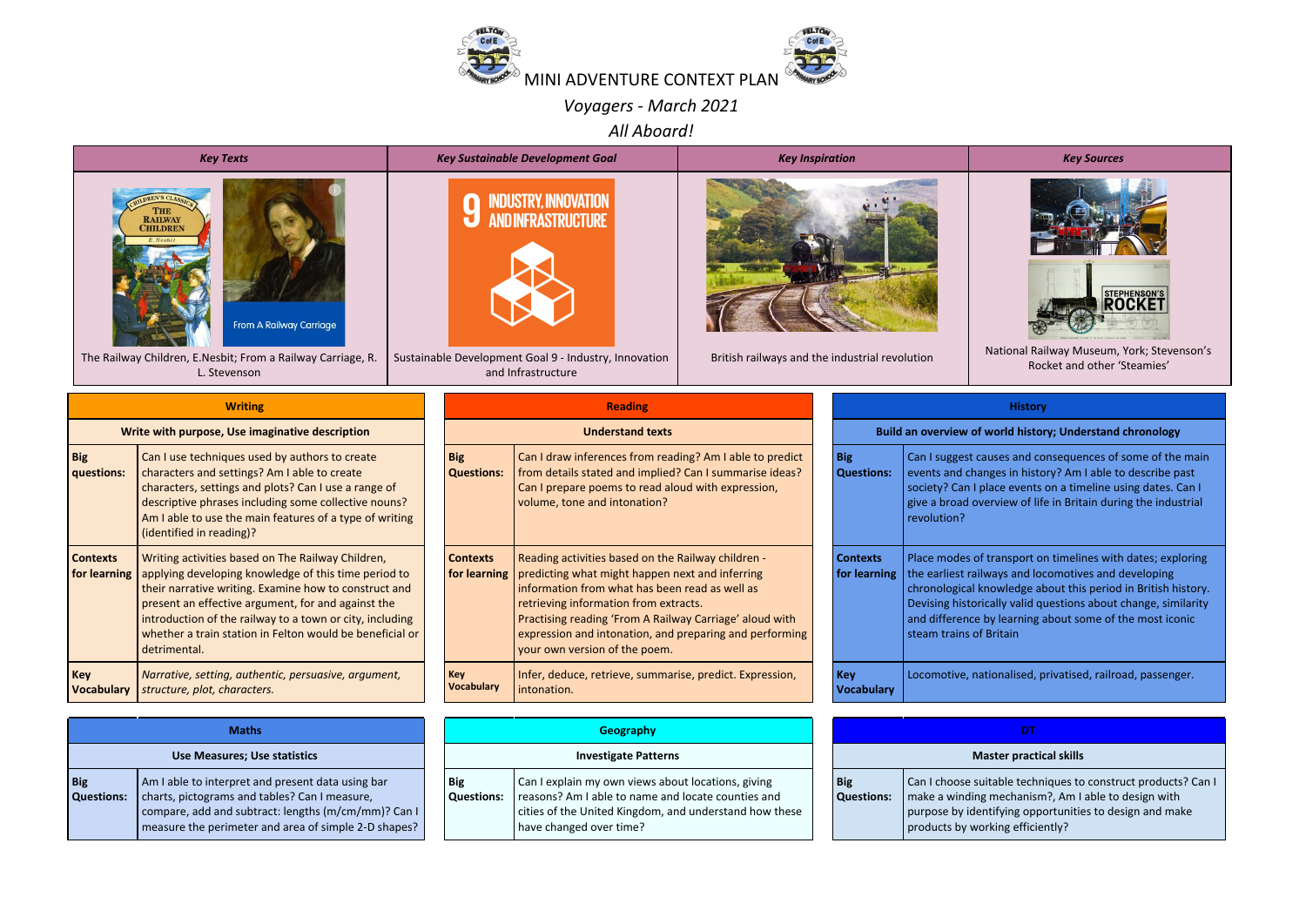

*Voyagers - March 2021*

*All Aboard!*



|                                 | <u>write with purpose, Use imaginative description</u>                                                                                                                                                                                                                                                                                                           |  |  |  |  |  |  |  |
|---------------------------------|------------------------------------------------------------------------------------------------------------------------------------------------------------------------------------------------------------------------------------------------------------------------------------------------------------------------------------------------------------------|--|--|--|--|--|--|--|
| <b>Big</b><br>questions:        | Can I use techniques used by authors to create<br>characters and settings? Am I able to create<br>characters, settings and plots? Can I use a range of<br>descriptive phrases including some collective nouns?<br>Am I able to use the main features of a type of writing<br>(identified in reading)?                                                            |  |  |  |  |  |  |  |
| <b>Contexts</b><br>for learning | Writing activities based on The Railway Children,<br>applying developing knowledge of this time period to<br>their narrative writing. Examine how to construct and<br>present an effective argument, for and against the<br>introduction of the railway to a town or city, including<br>whether a train station in Felton would be beneficial or<br>detrimental. |  |  |  |  |  |  |  |
| Key<br><b>Vocabulary</b>        | Narrative, setting, authentic, persuasive, argument,<br>structure, plot, characters.                                                                                                                                                                                                                                                                             |  |  |  |  |  |  |  |

| <b>Maths</b>                    |                                                                                                                                                                                                                   |  |  |  |  |  |  |
|---------------------------------|-------------------------------------------------------------------------------------------------------------------------------------------------------------------------------------------------------------------|--|--|--|--|--|--|
| Use Measures; Use statistics    |                                                                                                                                                                                                                   |  |  |  |  |  |  |
| <b>Big</b><br><b>Questions:</b> | Am I able to interpret and present data using bar<br>charts, pictograms and tables? Can I measure,<br>compare, add and subtract: lengths (m/cm/mm)? Can I<br>measure the perimeter and area of simple 2-D shapes? |  |  |  |  |  |  |

|                                 | <b>Reading</b>                                                                                                                                                                                                                                                                                                                                          |  |
|---------------------------------|---------------------------------------------------------------------------------------------------------------------------------------------------------------------------------------------------------------------------------------------------------------------------------------------------------------------------------------------------------|--|
|                                 | <b>Understand texts</b>                                                                                                                                                                                                                                                                                                                                 |  |
| <b>Big</b><br><b>Questions:</b> | Can I draw inferences from reading? Am I able to predict<br>from details stated and implied? Can I summarise ideas?<br>Can I prepare poems to read aloud with expression,<br>volume, tone and intonation?                                                                                                                                               |  |
| <b>Contexts</b><br>for learning | Reading activities based on the Railway children -<br>predicting what might happen next and inferring<br>information from what has been read as well as<br>retrieving information from extracts.<br>Practising reading 'From A Railway Carriage' aloud with<br>expression and intonation, and preparing and performing<br>your own version of the poem. |  |
| Key<br><b>Vocabulary</b>        | Infer, deduce, retrieve, summarise, predict. Expression,<br>intonation.                                                                                                                                                                                                                                                                                 |  |

| <b>Maths</b>                                                                                                                                                                                  |  | Geography                       |                                                                                                                                                                                               |  |                                 | DТ                                                                                                                                                |  |
|-----------------------------------------------------------------------------------------------------------------------------------------------------------------------------------------------|--|---------------------------------|-----------------------------------------------------------------------------------------------------------------------------------------------------------------------------------------------|--|---------------------------------|---------------------------------------------------------------------------------------------------------------------------------------------------|--|
| <b>Use Measures; Use statistics</b>                                                                                                                                                           |  |                                 | <b>Investigate Patterns</b>                                                                                                                                                                   |  | <b>Master practical skills</b>  |                                                                                                                                                   |  |
| ble to interpret and present data using bar<br>, pictograms and tables? Can I measure,<br>are, add and subtract: lengths (m/cm/mm)? Can I<br>are the perimeter and area of simple 2-D shapes? |  | <b>Big</b><br><b>Questions:</b> | Can I explain my own views about locations, giving<br>reasons? Am I able to name and locate counties and<br>cities of the United Kingdom, and understand how these<br>have changed over time? |  | <b>Big</b><br><b>Questions:</b> | Can I choose suitable techniques to<br>make a winding mechanism?, Am I<br>purpose by identifying opportunitie<br>products by working efficiently? |  |

|                                                           | і пэсэг у                                                                                                                                                                                                                                                                                                                                     |  |  |  |  |  |  |
|-----------------------------------------------------------|-----------------------------------------------------------------------------------------------------------------------------------------------------------------------------------------------------------------------------------------------------------------------------------------------------------------------------------------------|--|--|--|--|--|--|
| Build an overview of world history; Understand chronology |                                                                                                                                                                                                                                                                                                                                               |  |  |  |  |  |  |
| <b>Big</b><br><b>Questions:</b>                           | Can I suggest causes and consequences of some of the main<br>events and changes in history? Am I able to describe past<br>society? Can I place events on a timeline using dates. Can I<br>give a broad overview of life in Britain during the industrial<br>revolution?                                                                       |  |  |  |  |  |  |
| <b>Contexts</b><br>for learning                           | Place modes of transport on timelines with dates; exploring<br>the earliest railways and locomotives and developing<br>chronological knowledge about this period in British history.<br>Devising historically valid questions about change, similarity<br>and difference by learning about some of the most iconic<br>steam trains of Britain |  |  |  |  |  |  |
| Kev<br>Vocabulary                                         | Locomotive, nationalised, privatised, railroad, passenger.                                                                                                                                                                                                                                                                                    |  |  |  |  |  |  |

| <b>Master practical skills</b> |                                                                                                                                                                                                                     |  |  |  |  |  |  |
|--------------------------------|---------------------------------------------------------------------------------------------------------------------------------------------------------------------------------------------------------------------|--|--|--|--|--|--|
| Big<br><b>Questions:</b>       | Can I choose suitable techniques to construct products? Can I<br>make a winding mechanism?, Am I able to design with<br>purpose by identifying opportunities to design and make<br>products by working efficiently? |  |  |  |  |  |  |